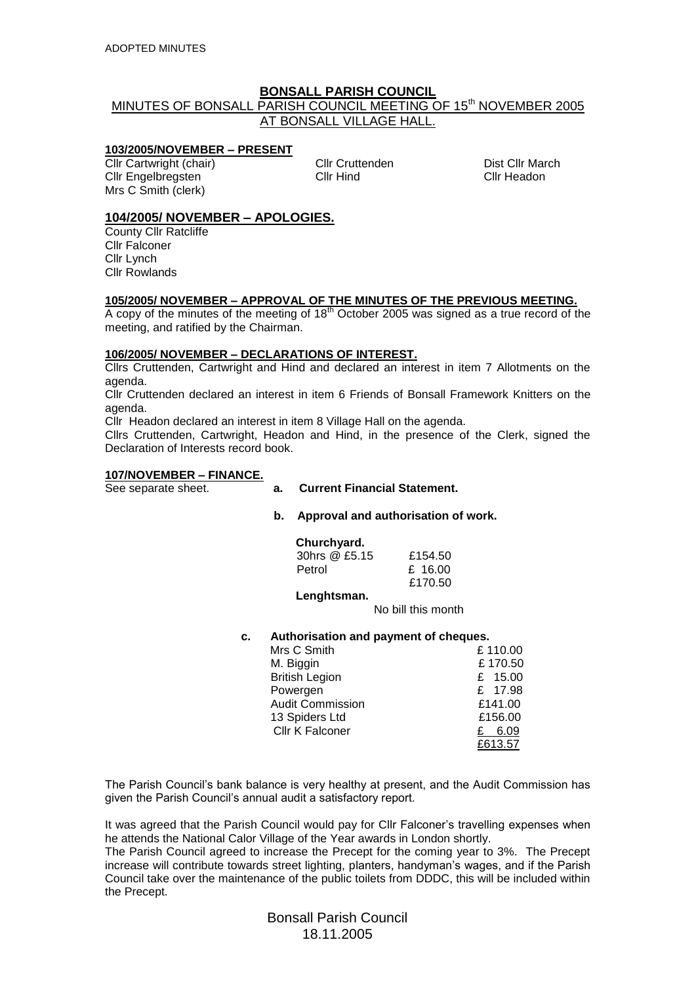# **BONSALL PARISH COUNCIL**

# MINUTES OF BONSALL PARISH COUNCIL MEETING OF 15<sup>th</sup> NOVEMBER 2005 AT BONSALL VILLAGE HALL.

#### **103/2005/NOVEMBER – PRESENT**

Cllr Cartwright (chair) Cllr Cruttenden Dist Cllr March Cllr Engelbregsten Cllr Hind Cllr Headon Mrs C Smith (clerk)

# **104/2005/ NOVEMBER – APOLOGIES.**

County Cllr Ratcliffe Cllr Falconer Cllr Lynch Cllr Rowlands

## **105/2005/ NOVEMBER – APPROVAL OF THE MINUTES OF THE PREVIOUS MEETING.**

A copy of the minutes of the meeting of  $18<sup>th</sup>$  October 2005 was signed as a true record of the meeting, and ratified by the Chairman.

## **106/2005/ NOVEMBER – DECLARATIONS OF INTEREST.**

Cllrs Cruttenden, Cartwright and Hind and declared an interest in item 7 Allotments on the agenda.

Cllr Cruttenden declared an interest in item 6 Friends of Bonsall Framework Knitters on the agenda.

Cllr Headon declared an interest in item 8 Village Hall on the agenda.

Cllrs Cruttenden, Cartwright, Headon and Hind, in the presence of the Clerk, signed the Declaration of Interests record book.

#### **107/NOVEMBER – FINANCE.**

- See separate sheet. **a. Current Financial Statement.**
	- **b. Approval and authorisation of work.**

# **Churchyard.**

| 30hrs @ £5.15 | £154.50 |
|---------------|---------|
| Petrol        | £ 16.00 |
|               | £170.50 |

#### **Lenghtsman.**

No bill this month

**c. Authorisation and payment of cheques.**

| Mrs C Smith             | £110.00 |
|-------------------------|---------|
| M. Biggin               | £170.50 |
| <b>British Legion</b>   | £ 15.00 |
| Powergen                | £ 17.98 |
| <b>Audit Commission</b> | £141.00 |
| 13 Spiders Ltd          | £156.00 |
| <b>Cllr K Falconer</b>  | 6.09    |
|                         | £613.57 |

The Parish Council's bank balance is very healthy at present, and the Audit Commission has given the Parish Council's annual audit a satisfactory report.

It was agreed that the Parish Council would pay for Cllr Falconer's travelling expenses when he attends the National Calor Village of the Year awards in London shortly.

The Parish Council agreed to increase the Precept for the coming year to 3%. The Precept increase will contribute towards street lighting, planters, handyman's wages, and if the Parish Council take over the maintenance of the public toilets from DDDC, this will be included within the Precept.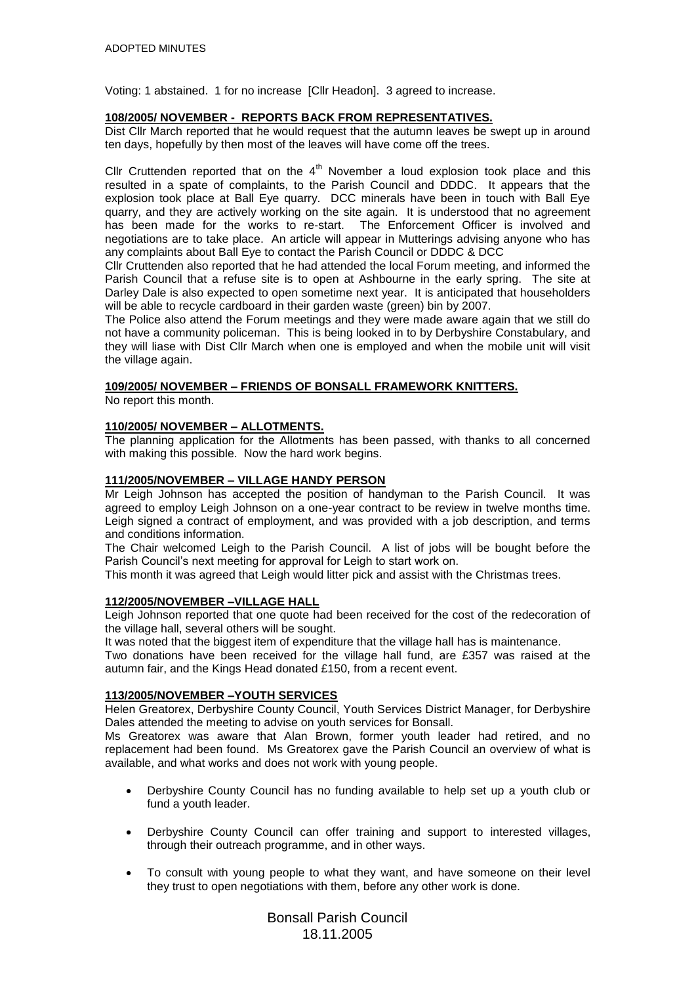Voting: 1 abstained. 1 for no increase [Cllr Headon]. 3 agreed to increase.

## **108/2005/ NOVEMBER - REPORTS BACK FROM REPRESENTATIVES.**

Dist Cllr March reported that he would request that the autumn leaves be swept up in around ten days, hopefully by then most of the leaves will have come off the trees.

Cllr Cruttenden reported that on the  $4<sup>th</sup>$  November a loud explosion took place and this resulted in a spate of complaints, to the Parish Council and DDDC. It appears that the explosion took place at Ball Eye quarry. DCC minerals have been in touch with Ball Eye quarry, and they are actively working on the site again. It is understood that no agreement has been made for the works to re-start. The Enforcement Officer is involved and negotiations are to take place. An article will appear in Mutterings advising anyone who has any complaints about Ball Eye to contact the Parish Council or DDDC & DCC

Cllr Cruttenden also reported that he had attended the local Forum meeting, and informed the Parish Council that a refuse site is to open at Ashbourne in the early spring. The site at Darley Dale is also expected to open sometime next year. It is anticipated that householders will be able to recycle cardboard in their garden waste (green) bin by 2007.

The Police also attend the Forum meetings and they were made aware again that we still do not have a community policeman. This is being looked in to by Derbyshire Constabulary, and they will liase with Dist Cllr March when one is employed and when the mobile unit will visit the village again.

## **109/2005/ NOVEMBER – FRIENDS OF BONSALL FRAMEWORK KNITTERS.**

No report this month.

## **110/2005/ NOVEMBER – ALLOTMENTS.**

The planning application for the Allotments has been passed, with thanks to all concerned with making this possible. Now the hard work begins.

## **111/2005/NOVEMBER – VILLAGE HANDY PERSON**

Mr Leigh Johnson has accepted the position of handyman to the Parish Council. It was agreed to employ Leigh Johnson on a one-year contract to be review in twelve months time. Leigh signed a contract of employment, and was provided with a job description, and terms and conditions information.

The Chair welcomed Leigh to the Parish Council. A list of jobs will be bought before the Parish Council's next meeting for approval for Leigh to start work on.

This month it was agreed that Leigh would litter pick and assist with the Christmas trees.

#### **112/2005/NOVEMBER –VILLAGE HALL**

Leigh Johnson reported that one quote had been received for the cost of the redecoration of the village hall, several others will be sought.

It was noted that the biggest item of expenditure that the village hall has is maintenance.

Two donations have been received for the village hall fund, are £357 was raised at the autumn fair, and the Kings Head donated £150, from a recent event.

#### **113/2005/NOVEMBER –YOUTH SERVICES**

Helen Greatorex, Derbyshire County Council, Youth Services District Manager, for Derbyshire Dales attended the meeting to advise on youth services for Bonsall.

Ms Greatorex was aware that Alan Brown, former youth leader had retired, and no replacement had been found. Ms Greatorex gave the Parish Council an overview of what is available, and what works and does not work with young people.

- Derbyshire County Council has no funding available to help set up a youth club or fund a youth leader.
- Derbyshire County Council can offer training and support to interested villages, through their outreach programme, and in other ways.
- To consult with young people to what they want, and have someone on their level they trust to open negotiations with them, before any other work is done.

Bonsall Parish Council 18.11.2005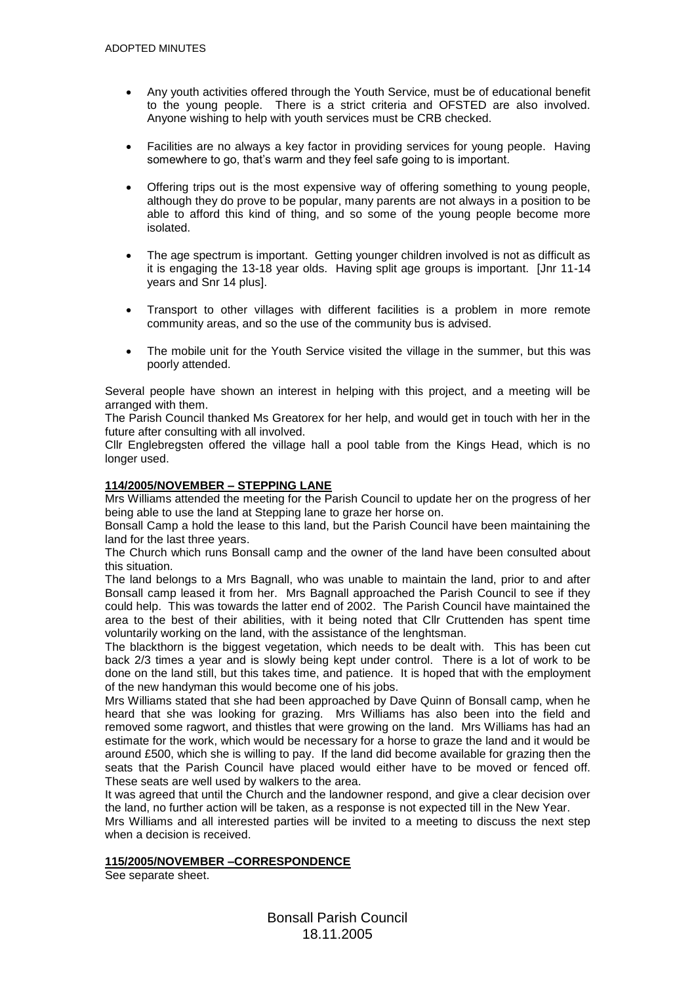- Any youth activities offered through the Youth Service, must be of educational benefit to the young people. There is a strict criteria and OFSTED are also involved. Anyone wishing to help with youth services must be CRB checked.
- Facilities are no always a key factor in providing services for young people. Having somewhere to go, that's warm and they feel safe going to is important.
- Offering trips out is the most expensive way of offering something to young people, although they do prove to be popular, many parents are not always in a position to be able to afford this kind of thing, and so some of the young people become more isolated.
- The age spectrum is important. Getting younger children involved is not as difficult as it is engaging the 13-18 year olds. Having split age groups is important. [Jnr 11-14 years and Snr 14 plus].
- Transport to other villages with different facilities is a problem in more remote community areas, and so the use of the community bus is advised.
- The mobile unit for the Youth Service visited the village in the summer, but this was poorly attended.

Several people have shown an interest in helping with this project, and a meeting will be arranged with them.

The Parish Council thanked Ms Greatorex for her help, and would get in touch with her in the future after consulting with all involved.

Cllr Englebregsten offered the village hall a pool table from the Kings Head, which is no longer used.

## **114/2005/NOVEMBER – STEPPING LANE**

Mrs Williams attended the meeting for the Parish Council to update her on the progress of her being able to use the land at Stepping lane to graze her horse on.

Bonsall Camp a hold the lease to this land, but the Parish Council have been maintaining the land for the last three years.

The Church which runs Bonsall camp and the owner of the land have been consulted about this situation.

The land belongs to a Mrs Bagnall, who was unable to maintain the land, prior to and after Bonsall camp leased it from her. Mrs Bagnall approached the Parish Council to see if they could help. This was towards the latter end of 2002. The Parish Council have maintained the area to the best of their abilities, with it being noted that Cllr Cruttenden has spent time voluntarily working on the land, with the assistance of the lenghtsman.

The blackthorn is the biggest vegetation, which needs to be dealt with. This has been cut back 2/3 times a year and is slowly being kept under control. There is a lot of work to be done on the land still, but this takes time, and patience. It is hoped that with the employment of the new handyman this would become one of his jobs.

Mrs Williams stated that she had been approached by Dave Quinn of Bonsall camp, when he heard that she was looking for grazing. Mrs Williams has also been into the field and removed some ragwort, and thistles that were growing on the land. Mrs Williams has had an estimate for the work, which would be necessary for a horse to graze the land and it would be around £500, which she is willing to pay. If the land did become available for grazing then the seats that the Parish Council have placed would either have to be moved or fenced off. These seats are well used by walkers to the area.

It was agreed that until the Church and the landowner respond, and give a clear decision over the land, no further action will be taken, as a response is not expected till in the New Year.

Mrs Williams and all interested parties will be invited to a meeting to discuss the next step when a decision is received.

## **115/2005/NOVEMBER –CORRESPONDENCE**

See separate sheet.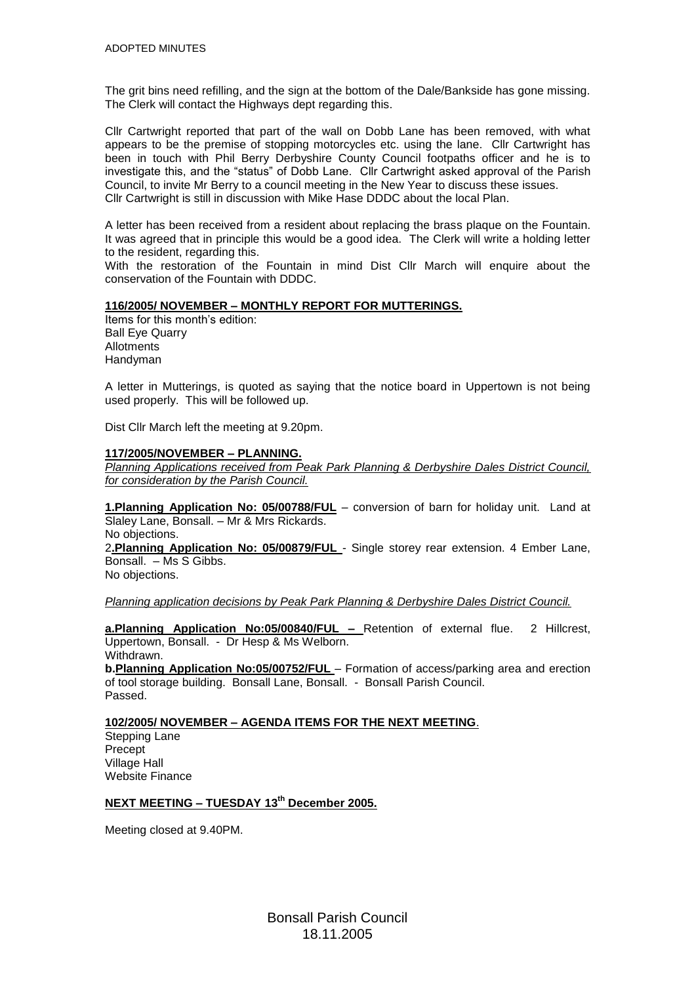The grit bins need refilling, and the sign at the bottom of the Dale/Bankside has gone missing. The Clerk will contact the Highways dept regarding this.

Cllr Cartwright reported that part of the wall on Dobb Lane has been removed, with what appears to be the premise of stopping motorcycles etc. using the lane. Cllr Cartwright has been in touch with Phil Berry Derbyshire County Council footpaths officer and he is to investigate this, and the "status" of Dobb Lane. Cllr Cartwright asked approval of the Parish Council, to invite Mr Berry to a council meeting in the New Year to discuss these issues. Cllr Cartwright is still in discussion with Mike Hase DDDC about the local Plan.

A letter has been received from a resident about replacing the brass plaque on the Fountain. It was agreed that in principle this would be a good idea. The Clerk will write a holding letter to the resident, regarding this.

With the restoration of the Fountain in mind Dist Cllr March will enquire about the conservation of the Fountain with DDDC.

# **116/2005/ NOVEMBER – MONTHLY REPORT FOR MUTTERINGS.**

Items for this month's edition: Ball Eye Quarry Allotments Handyman

A letter in Mutterings, is quoted as saying that the notice board in Uppertown is not being used properly. This will be followed up.

Dist Cllr March left the meeting at 9.20pm.

#### **117/2005/NOVEMBER – PLANNING.**

*Planning Applications received from Peak Park Planning & Derbyshire Dales District Council, for consideration by the Parish Council.*

**1.Planning Application No: 05/00788/FUL** – conversion of barn for holiday unit. Land at Slaley Lane, Bonsall. – Mr & Mrs Rickards.

No objections.

2**.Planning Application No: 05/00879/FUL** - Single storey rear extension. 4 Ember Lane, Bonsall. – Ms S Gibbs.

No objections.

*Planning application decisions by Peak Park Planning & Derbyshire Dales District Council.*

**a.Planning Application No:05/00840/FUL –** Retention of external flue. 2 Hillcrest, Uppertown, Bonsall. - Dr Hesp & Ms Welborn. Withdrawn.

**b.Planning Application No:05/00752/FUL** – Formation of access/parking area and erection of tool storage building. Bonsall Lane, Bonsall. - Bonsall Parish Council. Passed.

# **102/2005/ NOVEMBER – AGENDA ITEMS FOR THE NEXT MEETING**.

Stepping Lane Precept Village Hall Website Finance

# **NEXT MEETING – TUESDAY 13th December 2005.**

Meeting closed at 9.40PM.